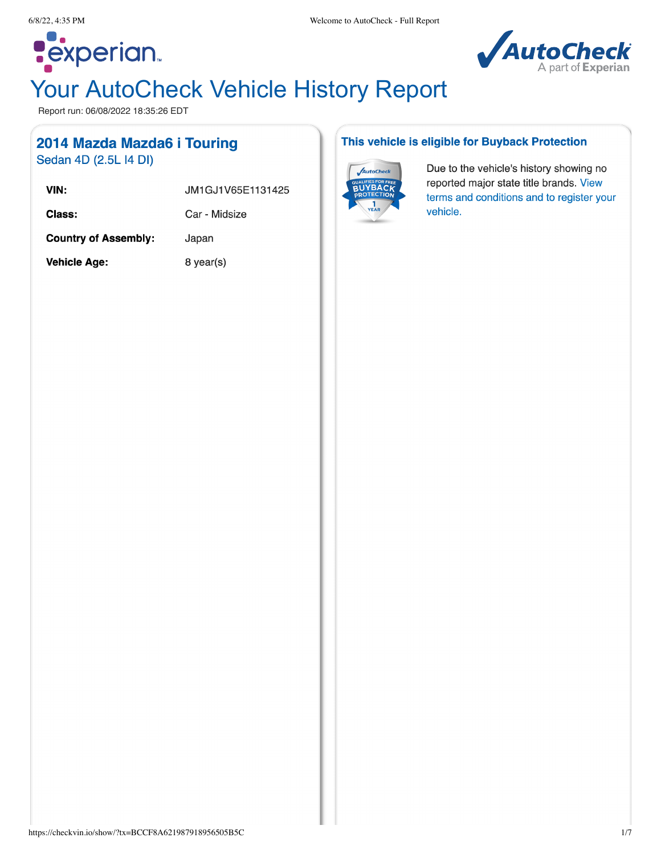

# Your AutoCheck Vehicle History Report

Report run: 06/08/2022 18:35:26 EDT

# 2014 Mazda Mazda6 i Touring

Sedan 4D (2.5L I4 DI)

**Pexperian** 

| VIN:                        | JM1GJ1V65E1131425 |
|-----------------------------|-------------------|
| Class:                      | Car - Midsize     |
| <b>Country of Assembly:</b> | Japan             |
| <b>Vehicle Age:</b>         | 8 year(s)         |

#### This vehicle is eligible for Buyback Protection



Due to the vehicle's history showing no reported major state title brands. View terms and conditions and to register your vehicle.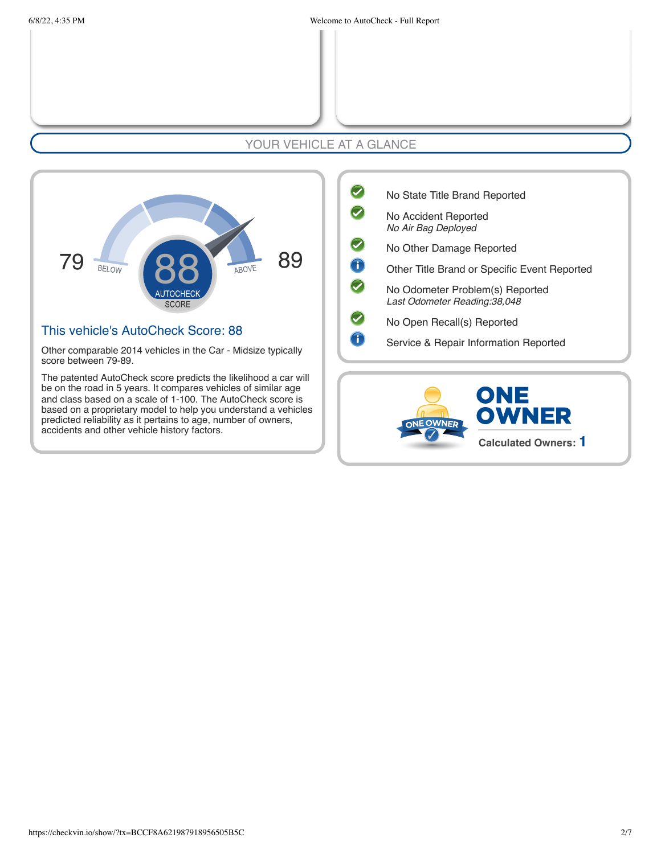### YOUR VEHICLE AT A GLANCE



#### This vehicle's AutoCheck Score: 88

Other comparable 2014 vehicles in the Car - Midsize typically score between 79-89.

The patented AutoCheck score predicts the likelihood a car will be on the road in 5 years. It compares vehicles of similar age and class based on a scale of 1-100. The AutoCheck score is based on a proprietary model to help you understand a vehicles predicted reliability as it pertains to age, number of owners, accidents and other vehicle history factors.

| No State Title Brand Reported                                    |
|------------------------------------------------------------------|
| No Accident Reported<br>No Air Bag Deployed                      |
| No Other Damage Reported                                         |
| Other Title Brand or Specific Event Reported                     |
| No Odometer Problem(s) Reported<br>Last Odometer Reading: 38,048 |
| No Open Recall(s) Reported                                       |
| Service & Repair Information Reported                            |

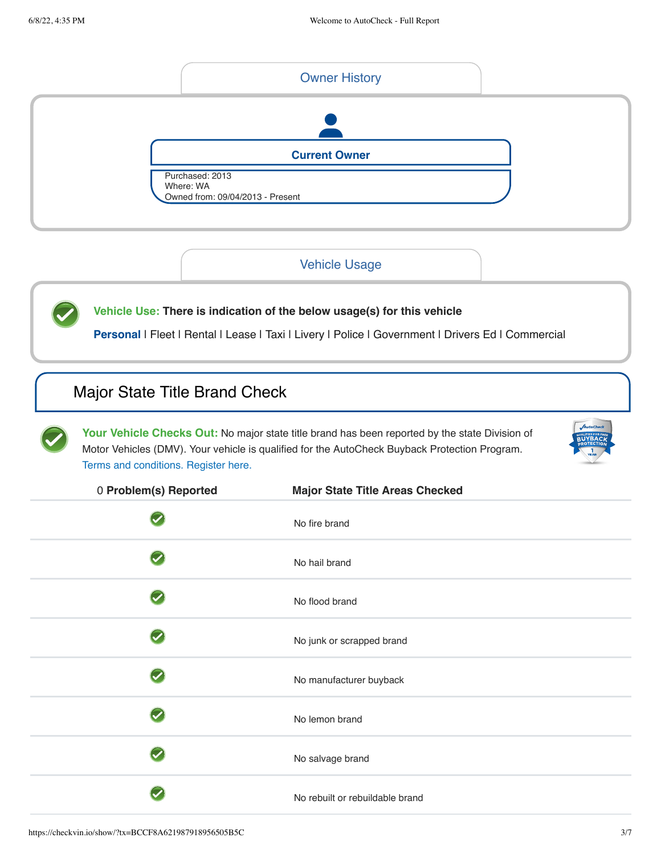

#### Vehicle Usage

**Vehicle Use: There is indication of the below usage(s) for this vehicle**

Personal | Fleet | Rental | Lease | Taxi | Livery | Police | Government | Drivers Ed | Commercial

### <span id="page-2-0"></span>Major State Title Brand Check

Your Vehicle Checks Out: No major state title brand has been reported by the state Division of Motor Vehicles (DMV). Your vehicle is qualified for the AutoCheck Buyback Protection Program. [Terms and conditions.](http://www.autocheck.com/vehiclehistory/autocheck/en/buyback-protection) Register here.



| 0 Problem(s) Reported | <b>Major State Title Areas Checked</b> |
|-----------------------|----------------------------------------|
|                       | No fire brand                          |
|                       | No hail brand                          |
|                       | No flood brand                         |
|                       | No junk or scrapped brand              |
|                       | No manufacturer buyback                |
|                       | No lemon brand                         |
|                       | No salvage brand                       |
|                       | No rebuilt or rebuildable brand        |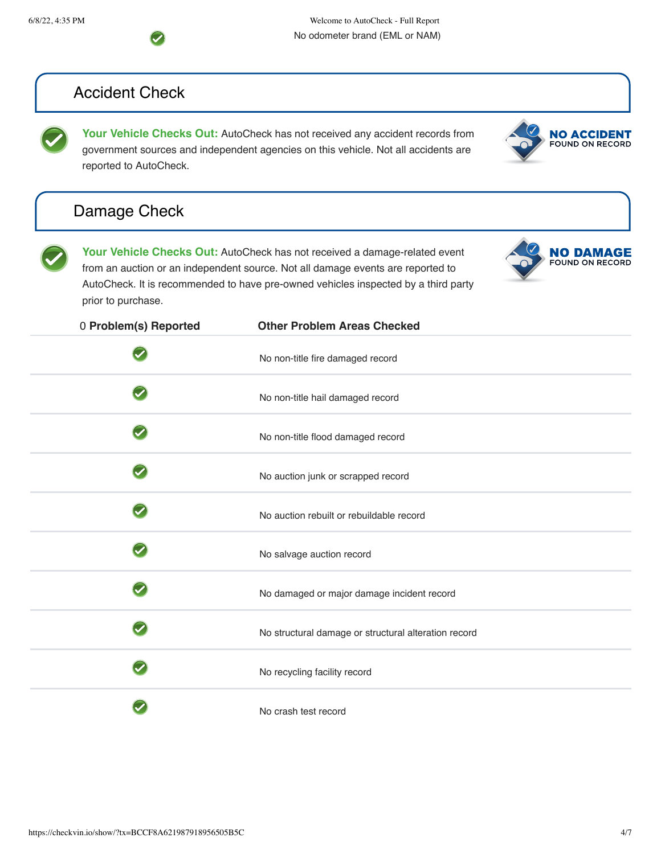

# <span id="page-3-0"></span>Accident Check

**Your Vehicle Checks Out:** AutoCheck has not received any accident records from government sources and independent agencies on this vehicle. Not all accidents are reported to AutoCheck.

<span id="page-3-1"></span>





**NO ACCIDENT**<br>FOUND ON RECORD

| 0 Problem(s) Reported | <b>Other Problem Areas Checked</b>                   |
|-----------------------|------------------------------------------------------|
|                       | No non-title fire damaged record                     |
|                       | No non-title hail damaged record                     |
|                       | No non-title flood damaged record                    |
|                       | No auction junk or scrapped record                   |
|                       | No auction rebuilt or rebuildable record             |
|                       | No salvage auction record                            |
|                       | No damaged or major damage incident record           |
|                       | No structural damage or structural alteration record |
|                       | No recycling facility record                         |
|                       | No crash test record                                 |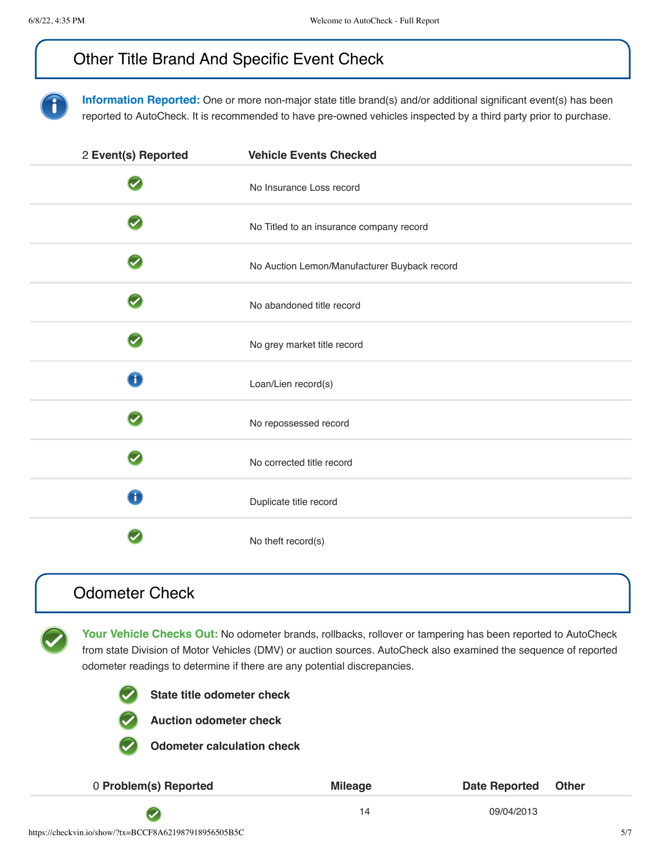# <span id="page-4-0"></span>Other Title Brand And Specific Event Check

**Information Reported:** One or more non-major state title brand(s) and/or additional significant event(s) has been reported to AutoCheck. It is recommended to have pre-owned vehicles inspected by a third party prior to purchase.

| 2 Event(s) Reported  | <b>Vehicle Events Checked</b>                |
|----------------------|----------------------------------------------|
|                      | No Insurance Loss record                     |
|                      | No Titled to an insurance company record     |
| $\blacktriangledown$ | No Auction Lemon/Manufacturer Buyback record |
| $\blacktriangledown$ | No abandoned title record                    |
|                      | No grey market title record                  |
| T                    | Loan/Lien record(s)                          |
|                      | No repossessed record                        |
|                      | No corrected title record                    |
| $\bigcap$            | Duplicate title record                       |
|                      | No theft record(s)                           |

### <span id="page-4-1"></span>Odometer Check

Your Vehicle Checks Out: No odometer brands, rollbacks, rollover or tampering has been reported to AutoCheck from state Division of Motor Vehicles (DMV) or auction sources. AutoCheck also examined the sequence of reported odometer readings to determine if there are any potential discrepancies.



**State title odometer check**



**Auction odometer check**

**Odometer calculation check**

| 0 Problem(s) Reported | <b>Mileage</b> | Date Reported Other |
|-----------------------|----------------|---------------------|
|                       |                | 09/04/2013          |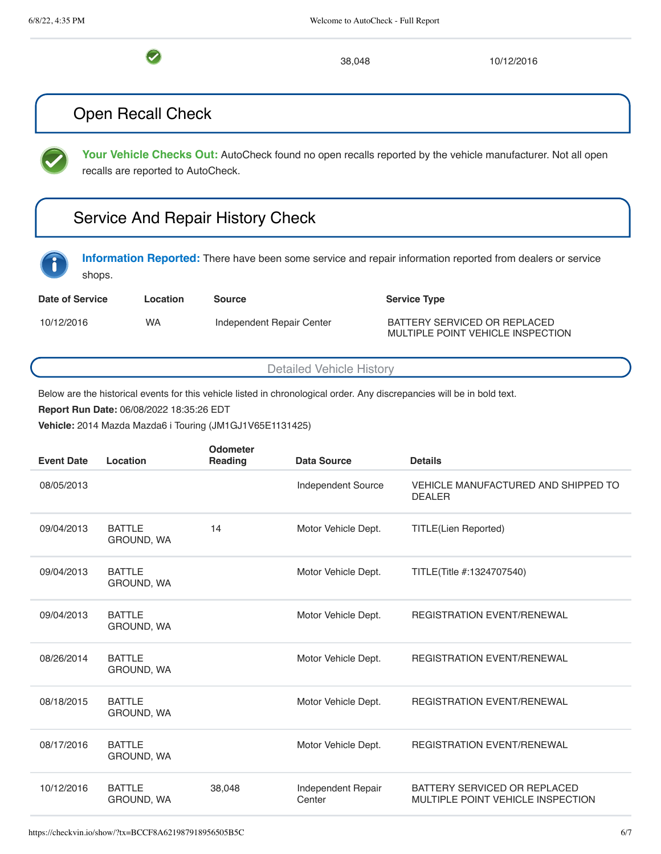$\bullet$ 

38,048 10/12/2016

### <span id="page-5-0"></span>Open Recall Check

**Your Vehicle Checks Out:** AutoCheck found no open recalls reported by the vehicle manufacturer. Not all open recalls are reported to AutoCheck.

# <span id="page-5-1"></span>Service And Repair History Check

**Information Reported:** There have been some service and repair information reported from dealers or service shops.

| <b>Date of Service</b> | Location  | Source                    | <b>Service Type</b>                                               |
|------------------------|-----------|---------------------------|-------------------------------------------------------------------|
| 10/12/2016             | <b>WA</b> | Independent Repair Center | BATTERY SERVICED OR REPLACED<br>MULTIPLE POINT VEHICLE INSPECTION |

Detailed Vehicle History

Below are the historical events for this vehicle listed in chronological order. Any discrepancies will be in bold text.

**Report Run Date:** 06/08/2022 18:35:26 EDT

**Vehicle:** 2014 Mazda Mazda6 i Touring (JM1GJ1V65E1131425)

| <b>Event Date</b> | Location                           | Odometer<br>Reading | <b>Data Source</b>           | <b>Details</b>                                                    |
|-------------------|------------------------------------|---------------------|------------------------------|-------------------------------------------------------------------|
| 08/05/2013        |                                    |                     | Independent Source           | VEHICLE MANUFACTURED AND SHIPPED TO<br><b>DEALER</b>              |
| 09/04/2013        | <b>BATTLE</b><br><b>GROUND, WA</b> | 14                  | Motor Vehicle Dept.          | <b>TITLE(Lien Reported)</b>                                       |
| 09/04/2013        | <b>BATTLE</b><br>GROUND, WA        |                     | Motor Vehicle Dept.          | TITLE(Title #:1324707540)                                         |
| 09/04/2013        | <b>BATTLE</b><br>GROUND, WA        |                     | Motor Vehicle Dept.          | <b>REGISTRATION EVENT/RENEWAL</b>                                 |
| 08/26/2014        | <b>BATTLE</b><br>GROUND, WA        |                     | Motor Vehicle Dept.          | <b>REGISTRATION EVENT/RENEWAL</b>                                 |
| 08/18/2015        | <b>BATTLE</b><br>GROUND, WA        |                     | Motor Vehicle Dept.          | <b>REGISTRATION EVENT/RENEWAL</b>                                 |
| 08/17/2016        | <b>BATTLE</b><br>GROUND, WA        |                     | Motor Vehicle Dept.          | <b>REGISTRATION EVENT/RENEWAL</b>                                 |
| 10/12/2016        | <b>BATTLE</b><br>GROUND, WA        | 38,048              | Independent Repair<br>Center | BATTERY SERVICED OR REPLACED<br>MULTIPLE POINT VEHICLE INSPECTION |